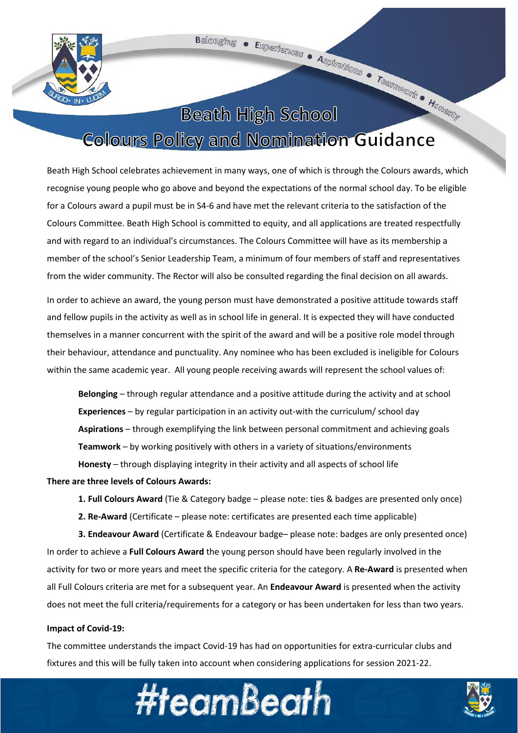

# **Beath High School**

## **Colours Policy and Nomination Guidance**

Beath High School celebrates achievement in many ways, one of which is through the Colours awards, which recognise young people who go above and beyond the expectations of the normal school day. To be eligible for a Colours award a pupil must be in S4-6 and have met the relevant criteria to the satisfaction of the Colours Committee. Beath High School is committed to equity, and all applications are treated respectfully and with regard to an individual's circumstances. The Colours Committee will have as its membership a member of the school's Senior Leadership Team, a minimum of four members of staff and representatives from the wider community. The Rector will also be consulted regarding the final decision on all awards.

In order to achieve an award, the young person must have demonstrated a positive attitude towards staff and fellow pupils in the activity as well as in school life in general. It is expected they will have conducted themselves in a manner concurrent with the spirit of the award and will be a positive role model through their behaviour, attendance and punctuality. Any nominee who has been excluded is ineligible for Colours within the same academic year. All young people receiving awards will represent the school values of:

**Belonging** – through regular attendance and a positive attitude during the activity and at school **Experiences** – by regular participation in an activity out-with the curriculum/ school day **Aspirations** – through exemplifying the link between personal commitment and achieving goals **Teamwork** – by working positively with others in a variety of situations/environments **Honesty** – through displaying integrity in their activity and all aspects of school life

#### **There are three levels of Colours Awards:**

- **1. Full Colours Award** (Tie & Category badge please note: ties & badges are presented only once)
- **2. Re-Award** (Certificate please note: certificates are presented each time applicable)

**3. Endeavour Award** (Certificate & Endeavour badge– please note: badges are only presented once) In order to achieve a **Full Colours Award** the young person should have been regularly involved in the activity for two or more years and meet the specific criteria for the category. A **Re-Award** is presented when all Full Colours criteria are met for a subsequent year. An **Endeavour Award** is presented when the activity does not meet the full criteria/requirements for a category or has been undertaken for less than two years.

#### **Impact of Covid-19:**

The committee understands the impact Covid-19 has had on opportunities for extra-curricular clubs and fixtures and this will be fully taken into account when considering applications for session 2021-22.